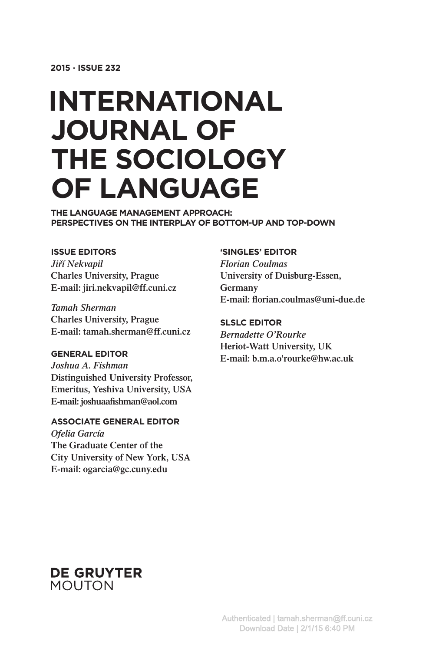# **INTERNATIONAL JOURNAL OF THE SOCIOLOGY OF LANGUAGE**

**THE LANGUAGE MANAGEMENT APPROACH: PERSPECTIVES ON THE INTERPLAY OF BOTTOM-UP AND TOP-DOWN**

#### **ISSUE EDITORS**

*Jirˇí Nekvapil* **Charles University, Prague E-mail: jiri.nekvapil@ff.cuni.cz**

*Tamah Sherman* **Charles University, Prague E-mail: tamah.sherman@ff.cuni.cz**

#### **GENERAL EDITOR**

*Joshua A. Fishman* **Distinguished University Professor, Emeritus, Yeshiva University, USA E-mail: joshuaafishman@aol.com**

#### **ASSOCIATE GENERAL EDITOR**

*Ofelia García* **The Graduate Center of the City University of New York, USA E-mail: ogarcia@gc.cuny.edu**

#### **'SINGLES' EDITOR**

*Florian Coulmas* **University of Duisburg-Essen, Germany E-mail: florian.coulmas@uni-due.de**

#### **SLSLC EDITOR**

*Bernadette O'Rourke* **Heriot-Watt University, UK E-mail: b.m.a.o'rourke@hw.ac.uk**

## **DE GRUYTER MOUTON**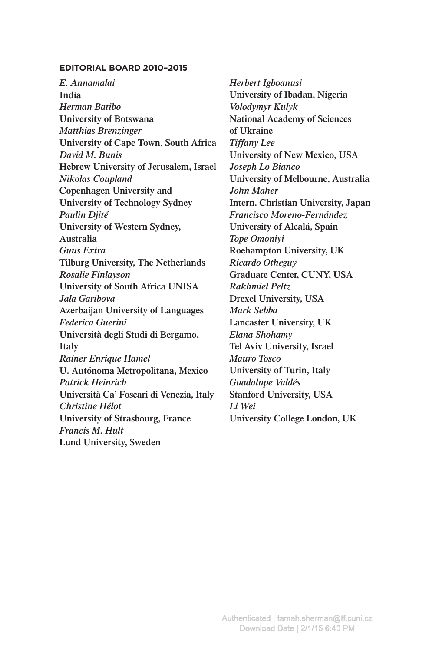#### **EDITORIAL BOARD 2010–2015**

*E. Annamalai* **India** *Herman Batibo* **University of Botswana** *Matthias Brenzinger* **University of Cape Town, South Africa** *David M. Bunis* **Hebrew University of Jerusalem, Israel** *Nikolas Coupland* **Copenhagen University and University of Technology Sydney** *Paulin Djité* **University of Western Sydney, Australia** *Guus Extra* **Tilburg University, The Netherlands** *Rosalie Finlayson* **University of South Africa UNISA** *Jala Garibova* **Azerbaijan University of Languages** *Federica Guerini*  **Università degli Studi di Bergamo, Italy** *Rainer Enrique Hamel* **U. Autónoma Metropolitana, Mexico** *Patrick Heinrich* **Università Ca**' **Foscari di Venezia, Italy** *Christine Hélot* **University of Strasbourg, France** *Francis M. Hult* **Lund University, Sweden**

*Herbert Igboanusi* **University of Ibadan, Nigeria** *Volodymyr Kulyk* **National Academy of Sciences of Ukraine** *Tiffany Lee* **University of New Mexico, USA** *Joseph Lo Bianco* **University of Melbourne, Australia** *John Maher* **Intern. Christian University, Japan** *Francisco Moreno-Fernández* **University of Alcalá, Spain** *Tope Omoniyi* **Roehampton University, UK** *Ricardo Otheguy* **Graduate Center, CUNY, USA** *Rakhmiel Peltz* **Drexel University, USA** *Mark Sebba* **Lancaster University, UK** *Elana Shohamy* **Tel Aviv University, Israel** *Mauro Tosco* **University of Turin, Italy** *Guadalupe Valdés* **Stanford University, USA** *Li Wei* **University College London, UK**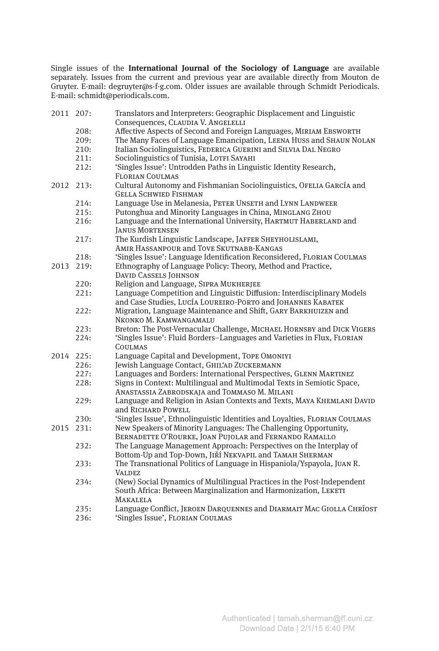Single issues of the **International Journal of the Sociology of Language** are available separately. Issues from the current and previous year are available directly from Mouton de Gruyter. E-mail: degruyter@s-f-g.com. Older issues are available through Schmidt Periodicals. E-mail: schmidt@periodicals.com.

| 2011 207: |      | Translators and Interpreters: Geographic Displacement and Linguistic       |
|-----------|------|----------------------------------------------------------------------------|
|           |      | Consequences, CLAUDIA V. ANGELELLI                                         |
|           | 208: | Affective Aspects of Second and Foreign Languages, MIRIAM EBSWORTH         |
|           | 209: | The Many Faces of Language Emancipation, LEENA HUSS and SHAUN NOLAN        |
|           | 210: | Italian Sociolinguistics, FEDERICA GUERINI and SILVIA DAL NEGRO            |
|           | 211: | Sociolinguistics of Tunisia, LOTFI SAYAHI                                  |
|           | 212: | 'Singles Issue': Untrodden Paths in Linguistic Identity Research,          |
|           |      | <b>FLORIAN COULMAS</b>                                                     |
| 2012 213: |      | Cultural Autonomy and Fishmanian Sociolinguistics, OFELIA GARCÍA and       |
|           |      | <b>GELLA SCHWIED FISHMAN</b>                                               |
|           | 214: | Language Use in Melanesia, PETER UNSETH and LYNN LANDWEER                  |
|           | 215: | Putonghua and Minority Languages in China, MINGLANG ZHOU                   |
|           | 216: | Language and the International University, HARTMUT HABERLAND and           |
|           |      | <b>JANUS MORTENSEN</b>                                                     |
|           | 217: | The Kurdish Linguistic Landscape, JAFFER SHEYHOLISLAMI,                    |
|           |      | AMIR HASSANPOUR and TOVE SKUTNABB-KANGAS                                   |
|           | 218: | 'Singles Issue': Language Identification Reconsidered, FLORIAN COULMAS     |
| 2013      | 219: | Ethnography of Language Policy: Theory, Method and Practice,               |
|           |      | <b>DAVID CASSELS JOHNSON</b>                                               |
|           | 220: | Religion and Language, SIPRA MUKHERJEE                                     |
|           | 221: | Language Competition and Linguistic Diffusion: Interdisciplinary Models    |
|           |      | and Case Studies, LUCÍA LOUREIRO-PORTO and JOHANNES KABATEK                |
|           | 222: | Migration, Language Maintenance and Shift, GARY BARKHUIZEN and             |
|           |      | NKONKO M. KAMWANGAMALU                                                     |
|           | 223: | Breton: The Post-Vernacular Challenge, MICHAEL HORNSBY and DICK VIGERS     |
|           | 224: | 'Singles Issue': Fluid Borders-Languages and Varieties in Flux, FLORIAN    |
|           |      | COULMAS                                                                    |
| 2014 225: |      | Language Capital and Development, TOPE OMONIYI                             |
|           | 226: | Jewish Language Contact, GHIL'AD ZUCKERMANN                                |
|           | 227: | Languages and Borders: International Perspectives, GLENN MARTINEZ          |
|           | 228: | Signs in Context: Multilingual and Multimodal Texts in Semiotic Space,     |
|           |      | ANASTASSIA ZABRODSKAJA and TOMMASO M. MILANI                               |
|           | 229: | Language and Religion in Asian Contexts and Texts, MAYA KHEMLANI DAVID     |
|           |      | and RICHARD POWELL                                                         |
|           | 230: | 'Singles Issue', Ethnolinguistic Identities and Lovalties, FLORIAN COULMAS |
| 2015      | 231: | New Speakers of Minority Languages: The Challenging Opportunity,           |
|           |      | BERNADETTE O'ROURKE, JOAN PUJOLAR and FERNANDO RAMALLO                     |
|           | 232: | The Language Management Approach: Perspectives on the Interplay of         |
|           |      | Bottom-Up and Top-Down, JIŘÍ NEKVAPIL and TAMAH SHERMAN                    |
|           | 233: | The Transnational Politics of Language in Hispaniola/Yspayola, JUAN R.     |
|           |      | <b>VALDEZ</b>                                                              |
|           | 234: | (New) Social Dynamics of Multilingual Practices in the Post-Independent    |
|           |      | South Africa: Between Marginalization and Harmonization, LEKETI            |
|           |      | <b>MAKALELA</b>                                                            |
|           | 235: | Language Conflict, JEROEN DARQUENNES and DIARMAIT MAC GIOLLA CHRÍOST       |
|           | 236: | 'Singles Issue', FLORIAN COULMAS                                           |
|           |      |                                                                            |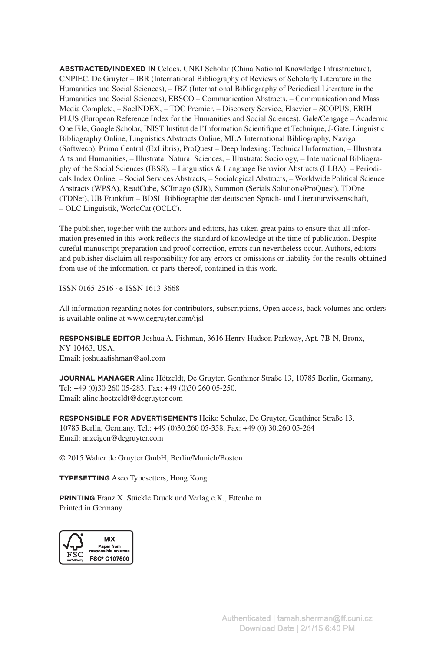**ABSTRACTED/INDEXED IN** Celdes, CNKI Scholar (China National Knowledge Infrastructure), CNPIEC, De Gruyter – IBR (International Bibliography of Reviews of Scholarly Literature in the Humanities and Social Sciences), – IBZ (International Bibliography of Periodical Literature in the Humanities and Social Sciences), EBSCO – Communication Abstracts, – Communication and Mass Media Complete, – SocINDEX, – TOC Premier, – Discovery Service, Elsevier – SCOPUS, ERIH PLUS (European Reference Index for the Humanities and Social Sciences), Gale/Cengage – Academic One File, Google Scholar, INIST Institut de l'Information Scientifique et Technique, J-Gate, Linguistic Bibliography Online, Linguistics Abstracts Online, MLA International Bibliography, Naviga (Softweco), Primo Central (ExLibris), ProQuest – Deep Indexing: Technical Information, – Illustrata: Arts and Humanities, – Illustrata: Natural Sciences, – Illustrata: Sociology, – International Bibliography of the Social Sciences (IBSS), – Linguistics & Language Behavior Abstracts (LLBA), – Periodicals Index Online, – Social Services Abstracts, – Sociological Abstracts, – Worldwide Political Science Abstracts (WPSA), ReadCube, SCImago (SJR), Summon (Serials Solutions/ProQuest), TDOne (TDNet), UB Frankfurt – BDSL Bibliographie der deutschen Sprach- und Literaturwissenschaft, – OLC Linguistik, WorldCat (OCLC).

The publisher, together with the authors and editors, has taken great pains to ensure that all information presented in this work reflects the standard of knowledge at the time of publication. Despite careful manuscript preparation and proof correction, errors can nevertheless occur. Authors, editors and publisher disclaim all responsibility for any errors or omissions or liability for the results obtained from use of the information, or parts thereof, contained in this work.

ISSN 0165-2516 ∙ e-ISSN 1613-3668

All information regarding notes for contributors, subscriptions, Open access, back volumes and orders is available online at www.degruyter.com/ijsl

**RESPONSIBLE EDITOR** Joshua A. Fishman, 3616 Henry Hudson Parkway, Apt. 7B-N, Bronx, NY 10463, USA. Email: joshuaafishman@aol.com

**JOURNAL MANAGER** Aline Hötzeldt, De Gruyter, Genthiner Straße 13, 10785 Berlin, Germany, Tel: +49 (0)30 260 05-283, Fax: +49 (0)30 260 05-250. Email: aline.hoetzeldt@degruyter.com

**RESPONSIBLE FOR ADVERTISEMENTS** Heiko Schulze, De Gruyter, Genthiner Straße 13, 10785 Berlin, Germany. Tel.: +49 (0)30.260 05-358, Fax: +49 (0) 30.260 05-264 Email: anzeigen@degruyter.com

© 2015 Walter de Gruyter GmbH, Berlin/Munich/Boston

**TYPESETTING** Asco Typesetters, Hong Kong

**PRINTING** Franz X. Stückle Druck und Verlag e.K., Ettenheim Printed in Germany

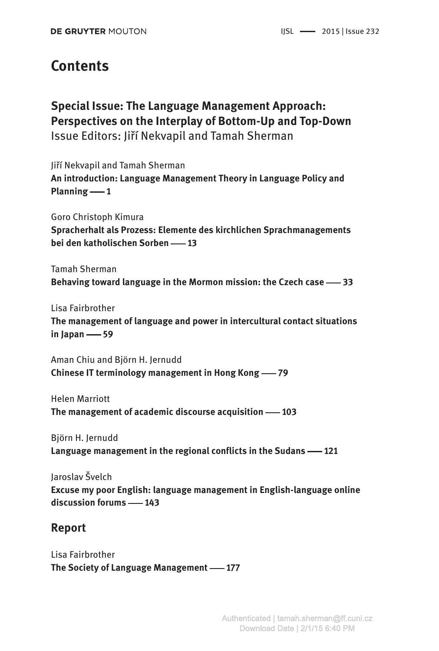## **Contents**

**Special Issue: The Language Management Approach: Perspectives on the Interplay of Bottom-Up and Top-Down** Issue Editors: Jiří Nekvapil and Tamah Sherman

Jiří Nekvapil and Tamah Sherman **An introduction: Language Management Theory in Language Policy and**   $Planning -1$ 

Goro Christoph Kimura **Spracherhalt als Prozess: Elemente des kirchlichen Sprachmanagements bei den katholischen Sorben – 13** 

Tamah Sherman **Behaving toward language in the Mormon mission: the Czech case — 33** 

Lisa Fairbrother **The management of language and power in intercultural contact situations in Japan   59**

Aman Chiu and Björn H. Jernudd **Chinese IT terminology management in Hong Kong** — 79

Helen Marriott **The management of academic discourse acquisition – 103** 

Björn H. Jernudd **Language management in the regional conflicts in the Sudans — 121** 

Jaroslav Švelch **Excuse my poor English: language management in English-language online discussion forums   143**

## **Report**

Lisa Fairbrother **The Society of Language Management -177**